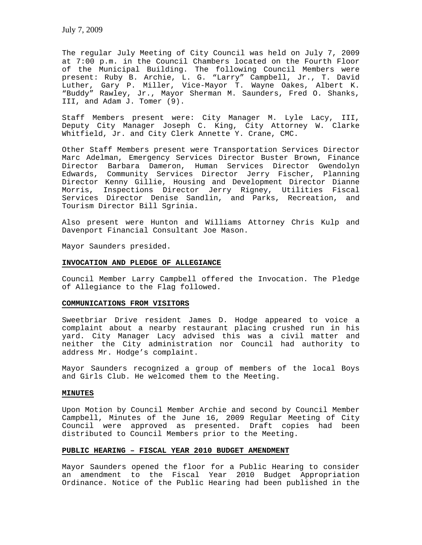The regular July Meeting of City Council was held on July 7, 2009 at 7:00 p.m. in the Council Chambers located on the Fourth Floor of the Municipal Building. The following Council Members were present: Ruby B. Archie, L. G. "Larry" Campbell, Jr., T. David Luther, Gary P. Miller, Vice-Mayor T. Wayne Oakes, Albert K. "Buddy" Rawley, Jr., Mayor Sherman M. Saunders, Fred O. Shanks, III, and Adam J. Tomer (9).

Staff Members present were: City Manager M. Lyle Lacy, III, Deputy City Manager Joseph C. King, City Attorney W. Clarke Whitfield, Jr. and City Clerk Annette Y. Crane, CMC.

Other Staff Members present were Transportation Services Director Marc Adelman, Emergency Services Director Buster Brown, Finance Director Barbara Dameron, Human Services Director Gwendolyn Edwards, Community Services Director Jerry Fischer, Planning Director Kenny Gillie, Housing and Development Director Dianne Morris, Inspections Director Jerry Rigney, Utilities Fiscal Services Director Denise Sandlin, and Parks, Recreation, and Tourism Director Bill Sgrinia.

Also present were Hunton and Williams Attorney Chris Kulp and Davenport Financial Consultant Joe Mason.

Mayor Saunders presided.

### **INVOCATION AND PLEDGE OF ALLEGIANCE**

Council Member Larry Campbell offered the Invocation. The Pledge of Allegiance to the Flag followed.

### **COMMUNICATIONS FROM VISITORS**

Sweetbriar Drive resident James D. Hodge appeared to voice a complaint about a nearby restaurant placing crushed run in his yard. City Manager Lacy advised this was a civil matter and neither the City administration nor Council had authority to address Mr. Hodge's complaint.

Mayor Saunders recognized a group of members of the local Boys and Girls Club. He welcomed them to the Meeting.

# **MINUTES**

Upon Motion by Council Member Archie and second by Council Member Campbell, Minutes of the June 16, 2009 Regular Meeting of City Council were approved as presented. Draft copies had been distributed to Council Members prior to the Meeting.

# **PUBLIC HEARING – FISCAL YEAR 2010 BUDGET AMENDMENT**

Mayor Saunders opened the floor for a Public Hearing to consider an amendment to the Fiscal Year 2010 Budget Appropriation Ordinance. Notice of the Public Hearing had been published in the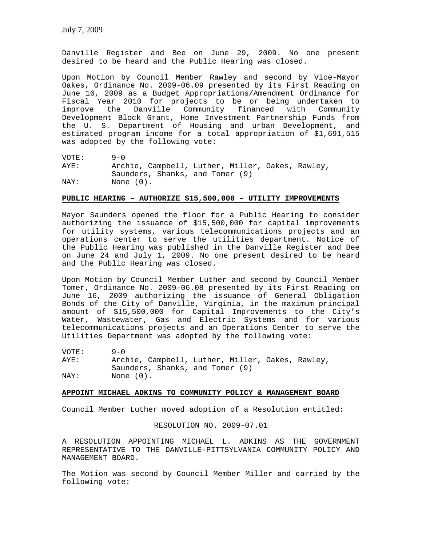Danville Register and Bee on June 29, 2009. No one present desired to be heard and the Public Hearing was closed.

Upon Motion by Council Member Rawley and second by Vice-Mayor Oakes, Ordinance No. 2009-06.09 presented by its First Reading on June 16, 2009 as a Budget Appropriations/Amendment Ordinance for Fiscal Year 2010 for projects to be or being undertaken to<br>improve the Danville Community financed with Community Danville Community financed with Community Development Block Grant, Home Investment Partnership Funds from the U. S. Department of Housing and urban Development, and estimated program income for a total appropriation of \$1,691,515 was adopted by the following vote:

VOTE: 9-0<br>AYE: Arcl Archie, Campbell, Luther, Miller, Oakes, Rawley, Saunders, Shanks, and Tomer (9) NAY: None (0).

### **PUBLIC HEARING – AUTHORIZE \$15,500,000 – UTILITY IMPROVEMENTS**

Mayor Saunders opened the floor for a Public Hearing to consider authorizing the issuance of \$15,500,000 for capital improvements for utility systems, various telecommunications projects and an operations center to serve the utilities department. Notice of the Public Hearing was published in the Danville Register and Bee on June 24 and July 1, 2009. No one present desired to be heard and the Public Hearing was closed.

Upon Motion by Council Member Luther and second by Council Member Tomer, Ordinance No. 2009-06.08 presented by its First Reading on June 16, 2009 authorizing the issuance of General Obligation Bonds of the City of Danville, Virginia, in the maximum principal amount of \$15,500,000 for Capital Improvements to the City's Water, Wastewater, Gas and Electric Systems and for various telecommunications projects and an Operations Center to serve the Utilities Department was adopted by the following vote:

VOTE: 9-0 AYE: Archie, Campbell, Luther, Miller, Oakes, Rawley, Saunders, Shanks, and Tomer (9) NAY: None (0).

#### **APPOINT MICHAEL ADKINS TO COMMUNITY POLICY & MANAGEMENT BOARD**

Council Member Luther moved adoption of a Resolution entitled:

RESOLUTION NO. 2009-07.01

A RESOLUTION APPOINTING MICHAEL L. ADKINS AS THE GOVERNMENT REPRESENTATIVE TO THE DANVILLE-PITTSYLVANIA COMMUNITY POLICY AND MANAGEMENT BOARD.

The Motion was second by Council Member Miller and carried by the following vote: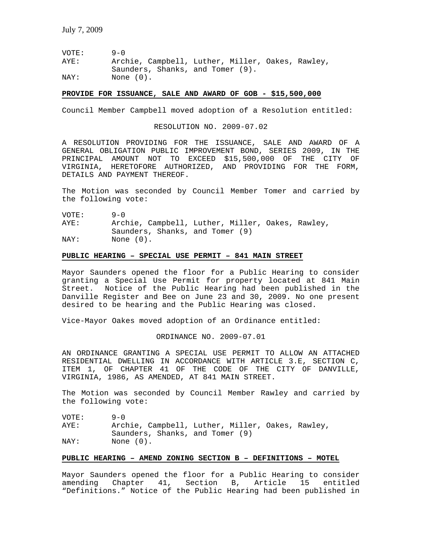VOTE: 9-0 AYE: Archie, Campbell, Luther, Miller, Oakes, Rawley, Saunders, Shanks, and Tomer (9).<br>NAY: None (0). None  $(0)$ .

**PROVIDE FOR ISSUANCE, SALE AND AWARD OF GOB - \$15,500,000**

Council Member Campbell moved adoption of a Resolution entitled:

RESOLUTION NO. 2009-07.02

A RESOLUTION PROVIDING FOR THE ISSUANCE, SALE AND AWARD OF A GENERAL OBLIGATION PUBLIC IMPROVEMENT BOND, SERIES 2009, IN THE PRINCIPAL AMOUNT NOT TO EXCEED \$15,500,000 OF THE CITY OF VIRGINIA, HERETOFORE AUTHORIZED, AND PROVIDING FOR THE FORM, DETAILS AND PAYMENT THEREOF.

The Motion was seconded by Council Member Tomer and carried by the following vote:

VOTE: 9-0 AYE: Archie, Campbell, Luther, Miller, Oakes, Rawley, Saunders, Shanks, and Tomer (9) NAY: None (0).

#### **PUBLIC HEARING – SPECIAL USE PERMIT – 841 MAIN STREET**

Mayor Saunders opened the floor for a Public Hearing to consider granting a Special Use Permit for property located at 841 Main Street. Notice of the Public Hearing had been published in the Danville Register and Bee on June 23 and 30, 2009. No one present desired to be hearing and the Public Hearing was closed.

Vice-Mayor Oakes moved adoption of an Ordinance entitled:

ORDINANCE NO. 2009-07.01

AN ORDINANCE GRANTING A SPECIAL USE PERMIT TO ALLOW AN ATTACHED RESIDENTIAL DWELLING IN ACCORDANCE WITH ARTICLE 3.E, SECTION C, ITEM 1, OF CHAPTER 41 OF THE CODE OF THE CITY OF DANVILLE, VIRGINIA, 1986, AS AMENDED, AT 841 MAIN STREET.

The Motion was seconded by Council Member Rawley and carried by the following vote:

VOTE: 9-0 AYE: Archie, Campbell, Luther, Miller, Oakes, Rawley, Saunders, Shanks, and Tomer (9) NAY: None  $(0)$ .

## **PUBLIC HEARING – AMEND ZONING SECTION B – DEFINITIONS – MOTEL**

Mayor Saunders opened the floor for a Public Hearing to consider amending Chapter 41, Section B, Article 15 entitled "Definitions." Notice of the Public Hearing had been published in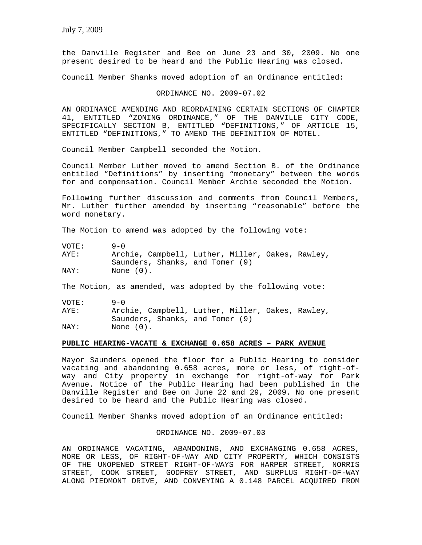the Danville Register and Bee on June 23 and 30, 2009. No one present desired to be heard and the Public Hearing was closed.

Council Member Shanks moved adoption of an Ordinance entitled:

### ORDINANCE NO. 2009-07.02

AN ORDINANCE AMENDING AND REORDAINING CERTAIN SECTIONS OF CHAPTER 41, ENTITLED "ZONING ORDINANCE," OF THE DANVILLE CITY CODE, SPECIFICALLY SECTION B, ENTITLED "DEFINITIONS," OF ARTICLE 15, ENTITLED "DEFINITIONS," TO AMEND THE DEFINITION OF MOTEL.

Council Member Campbell seconded the Motion.

Council Member Luther moved to amend Section B. of the Ordinance entitled "Definitions" by inserting "monetary" between the words for and compensation. Council Member Archie seconded the Motion.

Following further discussion and comments from Council Members, Mr. Luther further amended by inserting "reasonable" before the word monetary.

The Motion to amend was adopted by the following vote:

| VOTE: | $9 - 0$                                          |
|-------|--------------------------------------------------|
| AYE:  | Archie, Campbell, Luther, Miller, Oakes, Rawley, |
|       | Saunders, Shanks, and Tomer (9)                  |
| NAY:  | None (0).                                        |

The Motion, as amended, was adopted by the following vote:

| VOTE: | $9 - 0$                                          |
|-------|--------------------------------------------------|
| AYE:  | Archie, Campbell, Luther, Miller, Oakes, Rawley, |
|       | Saunders, Shanks, and Tomer (9)                  |
| NAY:  | None $(0)$ .                                     |

#### **PUBLIC HEARING-VACATE & EXCHANGE 0.658 ACRES – PARK AVENUE**

Mayor Saunders opened the floor for a Public Hearing to consider vacating and abandoning 0.658 acres, more or less, of right-ofway and City property in exchange for right-of-way for Park Avenue. Notice of the Public Hearing had been published in the Danville Register and Bee on June 22 and 29, 2009. No one present desired to be heard and the Public Hearing was closed.

Council Member Shanks moved adoption of an Ordinance entitled:

## ORDINANCE NO. 2009-07.03

AN ORDINANCE VACATING, ABANDONING, AND EXCHANGING 0.658 ACRES, MORE OR LESS, OF RIGHT-OF-WAY AND CITY PROPERTY, WHICH CONSISTS OF THE UNOPENED STREET RIGHT-OF-WAYS FOR HARPER STREET, NORRIS STREET, COOK STREET, GODFREY STREET, AND SURPLUS RIGHT-OF-WAY ALONG PIEDMONT DRIVE, AND CONVEYING A 0.148 PARCEL ACQUIRED FROM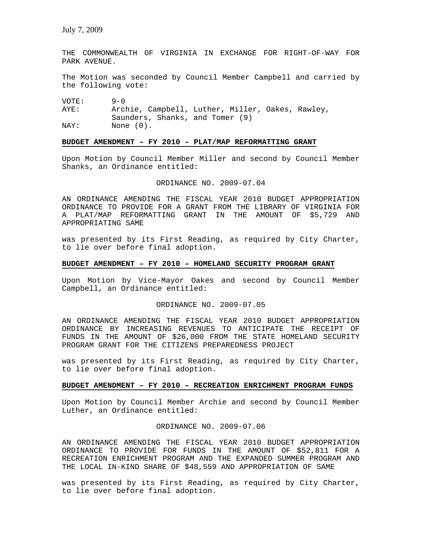THE COMMONWEALTH OF VIRGINIA IN EXCHANGE FOR RIGHT-OF-WAY FOR PARK AVENUE.

The Motion was seconded by Council Member Campbell and carried by the following vote:

VOTE: 9-0

AYE: Archie, Campbell, Luther, Miller, Oakes, Rawley, Saunders, Shanks, and Tomer (9) NAY: None (0).

# **BUDGET AMENDMENT – FY 2010 – PLAT/MAP REFORMATTING GRANT**

Upon Motion by Council Member Miller and second by Council Member Shanks, an Ordinance entitled:

### ORDINANCE NO. 2009-07.04

AN ORDINANCE AMENDING THE FISCAL YEAR 2010 BUDGET APPROPRIATION ORDINANCE TO PROVIDE FOR A GRANT FROM THE LIBRARY OF VIRGINIA FOR A PLAT/MAP REFORMATTING GRANT IN THE AMOUNT OF \$5,729 AND APPROPRIATING SAME

was presented by its First Reading, as required by City Charter, to lie over before final adoption.

# **BUDGET AMENDMENT – FY 2010 – HOMELAND SECURITY PROGRAM GRANT**

Upon Motion by Vice-Mayor Oakes and second by Council Member Campbell, an Ordinance entitled:

# ORDINANCE NO. 2009-07.05

AN ORDINANCE AMENDING THE FISCAL YEAR 2010 BUDGET APPROPRIATION ORDINANCE BY INCREASING REVENUES TO ANTICIPATE THE RECEIPT OF FUNDS IN THE AMOUNT OF \$26,000 FROM THE STATE HOMELAND SECURITY PROGRAM GRANT FOR THE CITIZENS PREPAREDNESS PROJECT

was presented by its First Reading, as required by City Charter, to lie over before final adoption.

### **BUDGET AMENDMENT – FY 2010 – RECREATION ENRICHMENT PROGRAM FUNDS**

Upon Motion by Council Member Archie and second by Council Member Luther, an Ordinance entitled:

ORDINANCE NO. 2009-07.06

AN ORDINANCE AMENDING THE FISCAL YEAR 2010 BUDGET APPROPRIATION ORDINANCE TO PROVIDE FOR FUNDS IN THE AMOUNT OF \$52,811 FOR A RECREATION ENRICHMENT PROGRAM AND THE EXPANDED SUMMER PROGRAM AND THE LOCAL IN-KIND SHARE OF \$48,559 AND APPROPRIATION OF SAME

was presented by its First Reading, as required by City Charter, to lie over before final adoption.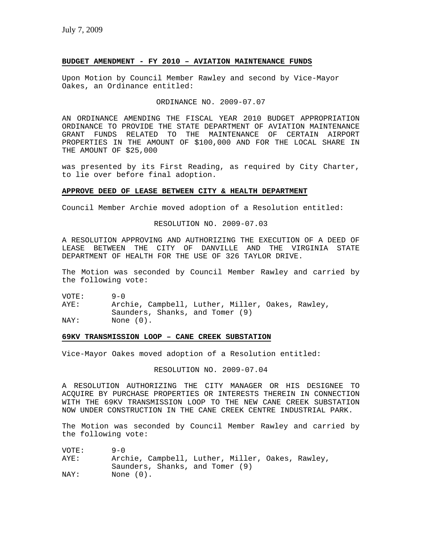# **BUDGET AMENDMENT - FY 2010 – AVIATION MAINTENANCE FUNDS**

Upon Motion by Council Member Rawley and second by Vice-Mayor Oakes, an Ordinance entitled:

# ORDINANCE NO. 2009-07.07

AN ORDINANCE AMENDING THE FISCAL YEAR 2010 BUDGET APPROPRIATION ORDINANCE TO PROVIDE THE STATE DEPARTMENT OF AVIATION MAINTENANCE GRANT FUNDS RELATED TO THE MAINTENANCE OF CERTAIN AIRPORT PROPERTIES IN THE AMOUNT OF \$100,000 AND FOR THE LOCAL SHARE IN THE AMOUNT OF \$25,000

was presented by its First Reading, as required by City Charter, to lie over before final adoption.

#### **APPROVE DEED OF LEASE BETWEEN CITY & HEALTH DEPARTMENT**

Council Member Archie moved adoption of a Resolution entitled:

RESOLUTION NO. 2009-07.03

A RESOLUTION APPROVING AND AUTHORIZING THE EXECUTION OF A DEED OF LEASE BETWEEN THE CITY OF DANVILLE AND THE VIRGINIA STATE DEPARTMENT OF HEALTH FOR THE USE OF 326 TAYLOR DRIVE.

The Motion was seconded by Council Member Rawley and carried by the following vote:

VOTE: 9-0

AYE: Archie, Campbell, Luther, Miller, Oakes, Rawley, Saunders, Shanks, and Tomer (9)

NAY: None (0).

# **69KV TRANSMISSION LOOP – CANE CREEK SUBSTATION**

Vice-Mayor Oakes moved adoption of a Resolution entitled:

RESOLUTION NO. 2009-07.04

A RESOLUTION AUTHORIZING THE CITY MANAGER OR HIS DESIGNEE TO ACQUIRE BY PURCHASE PROPERTIES OR INTERESTS THEREIN IN CONNECTION WITH THE 69KV TRANSMISSION LOOP TO THE NEW CANE CREEK SUBSTATION NOW UNDER CONSTRUCTION IN THE CANE CREEK CENTRE INDUSTRIAL PARK.

The Motion was seconded by Council Member Rawley and carried by the following vote:

| VOTE: | $9 - 0$                         |                                                  |
|-------|---------------------------------|--------------------------------------------------|
| AYE:  |                                 | Archie, Campbell, Luther, Miller, Oakes, Rawley, |
|       | Saunders, Shanks, and Tomer (9) |                                                  |
| NAY:  | None $(0)$ .                    |                                                  |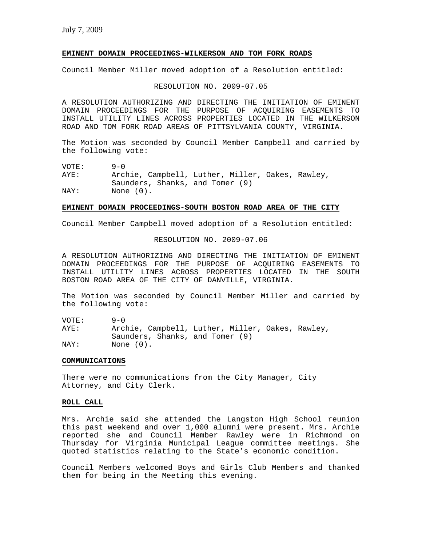#### **EMINENT DOMAIN PROCEEDINGS-WILKERSON AND TOM FORK ROADS**

Council Member Miller moved adoption of a Resolution entitled:

RESOLUTION NO. 2009-07.05

A RESOLUTION AUTHORIZING AND DIRECTING THE INITIATION OF EMINENT DOMAIN PROCEEDINGS FOR THE PURPOSE OF ACQUIRING EASEMENTS TO INSTALL UTILITY LINES ACROSS PROPERTIES LOCATED IN THE WILKERSON ROAD AND TOM FORK ROAD AREAS OF PITTSYLVANIA COUNTY, VIRGINIA.

The Motion was seconded by Council Member Campbell and carried by the following vote:

VOTE: 9-0 AYE: Archie, Campbell, Luther, Miller, Oakes, Rawley, Saunders, Shanks, and Tomer (9) NAY: None  $(0)$ .

#### **EMINENT DOMAIN PROCEEDINGS-SOUTH BOSTON ROAD AREA OF THE CITY**

Council Member Campbell moved adoption of a Resolution entitled:

RESOLUTION NO. 2009-07.06

A RESOLUTION AUTHORIZING AND DIRECTING THE INITIATION OF EMINENT DOMAIN PROCEEDINGS FOR THE PURPOSE OF ACQUIRING EASEMENTS TO INSTALL UTILITY LINES ACROSS PROPERTIES LOCATED IN THE SOUTH BOSTON ROAD AREA OF THE CITY OF DANVILLE, VIRGINIA.

The Motion was seconded by Council Member Miller and carried by the following vote:

 $VOTE: 9-0$ AYE: Archie, Campbell, Luther, Miller, Oakes, Rawley, Saunders, Shanks, and Tomer (9) NAY: None (0).

# **COMMUNICATIONS**

There were no communications from the City Manager, City Attorney, and City Clerk.

# **ROLL CALL**

Mrs. Archie said she attended the Langston High School reunion this past weekend and over 1,000 alumni were present. Mrs. Archie reported she and Council Member Rawley were in Richmond on Thursday for Virginia Municipal League committee meetings. She quoted statistics relating to the State's economic condition.

Council Members welcomed Boys and Girls Club Members and thanked them for being in the Meeting this evening.